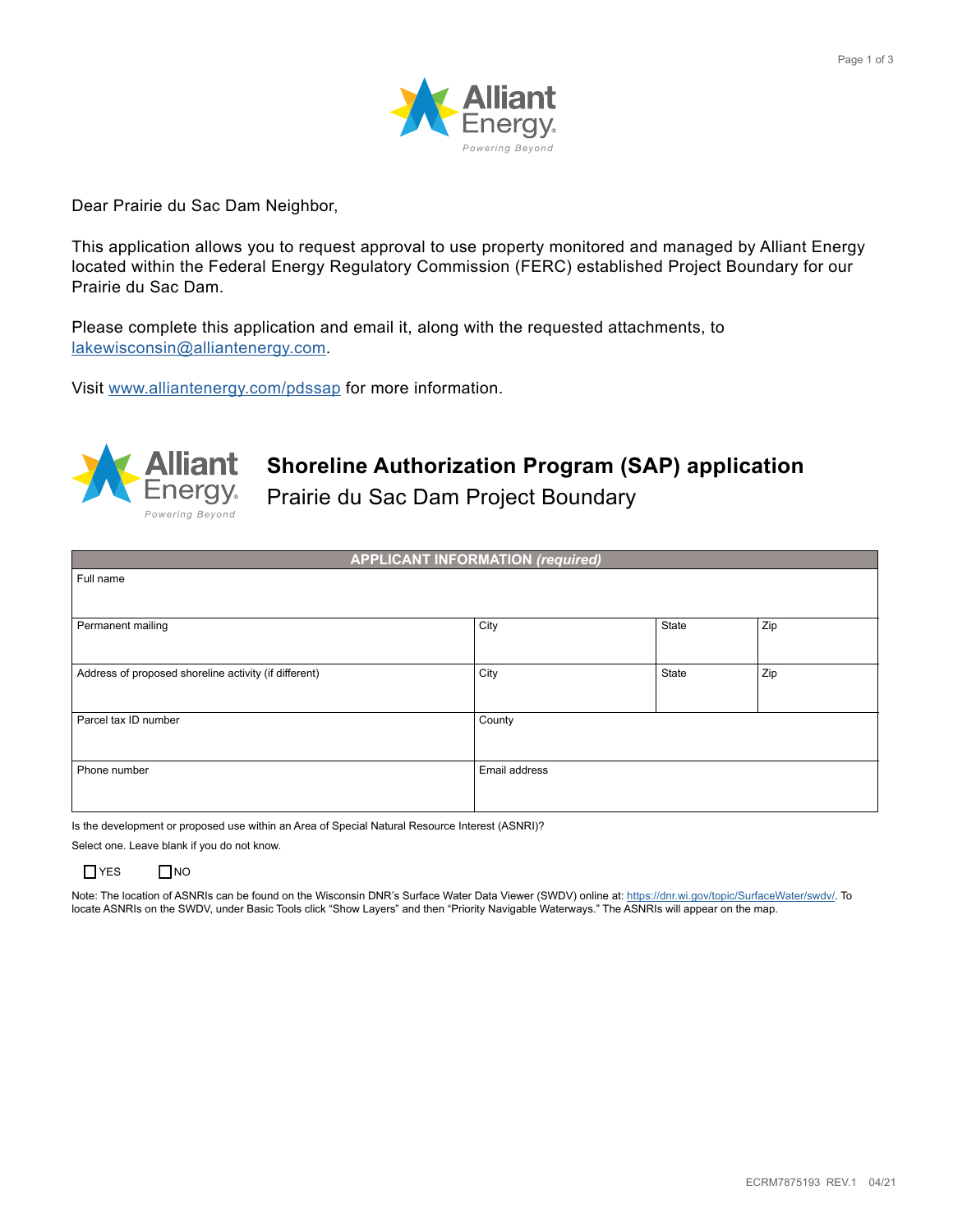

Dear Prairie du Sac Dam Neighbor,

This application allows you to request approval to use property monitored and managed by Alliant Energy located within the Federal Energy Regulatory Commission (FERC) established Project Boundary for our Prairie du Sac Dam.

Please complete this application and email it, along with the requested attachments, to [lakewisconsin@alliantenergy.com.](mailto:lakewisconsin@alliantenergy.com)

Visit [www.alliantenergy.com/pdssap](http://www.alliantenergy.com/pdssap) for more information.



## **Shoreline Authorization Program (SAP) application**

Prairie du Sac Dam Project Boundary

|                                                       | <b>APPLICANT INFORMATION (required)</b> |       |     |
|-------------------------------------------------------|-----------------------------------------|-------|-----|
| Full name                                             |                                         |       |     |
|                                                       |                                         |       |     |
| Permanent mailing                                     | City                                    | State | Zip |
|                                                       |                                         |       |     |
| Address of proposed shoreline activity (if different) | City                                    | State | Zip |
|                                                       |                                         |       |     |
| Parcel tax ID number                                  | County                                  |       |     |
|                                                       |                                         |       |     |
| Phone number                                          | Email address                           |       |     |
|                                                       |                                         |       |     |

Is the development or proposed use within an Area of Special Natural Resource Interest (ASNRI)?

Select one. Leave blank if you do not know.



Note: The location of ASNRIs can be found on the Wisconsin DNR's Surface Water Data Viewer (SWDV) online at: [https://dnr.wi.gov/topic/SurfaceWater/swdv/.](https://dnr.wi.gov/topic/SurfaceWater/swdv/) To locate ASNRIs on the SWDV, under Basic Tools click "Show Layers" and then "Priority Navigable Waterways." The ASNRIs will appear on the map.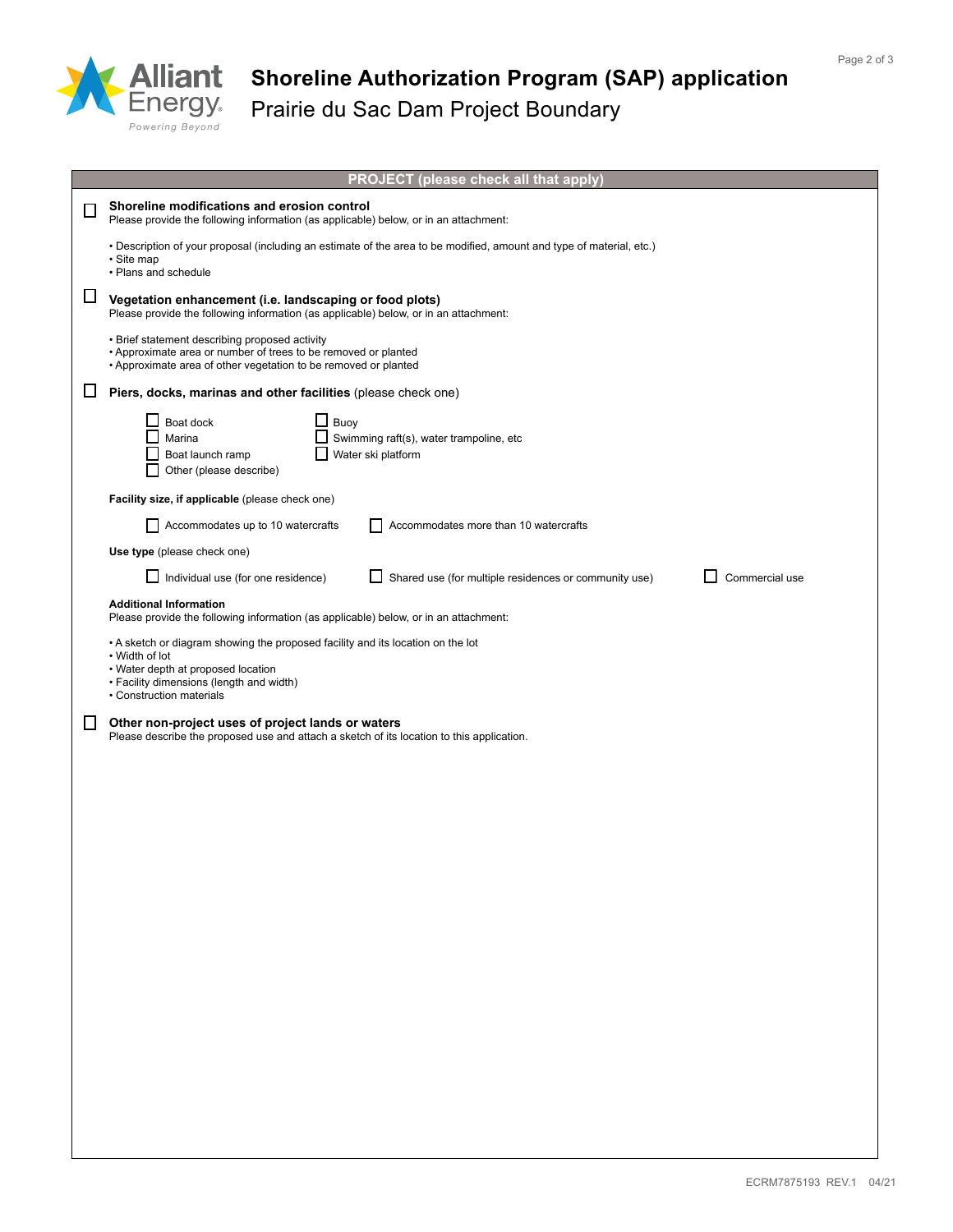

## **Shoreline Authorization Program (SAP) application** Prairie du Sac Dam Project Boundary

|    | PROJECT (please check all that apply)                                                                                                                                                                           |  |  |  |  |  |
|----|-----------------------------------------------------------------------------------------------------------------------------------------------------------------------------------------------------------------|--|--|--|--|--|
|    | Shoreline modifications and erosion control<br>Please provide the following information (as applicable) below, or in an attachment:                                                                             |  |  |  |  |  |
|    | . Description of your proposal (including an estimate of the area to be modified, amount and type of material, etc.)<br>· Site map<br>• Plans and schedule                                                      |  |  |  |  |  |
| ப  | Vegetation enhancement (i.e. landscaping or food plots)<br>Please provide the following information (as applicable) below, or in an attachment:                                                                 |  |  |  |  |  |
|    | • Brief statement describing proposed activity<br>• Approximate area or number of trees to be removed or planted<br>• Approximate area of other vegetation to be removed or planted                             |  |  |  |  |  |
|    | Piers, docks, marinas and other facilities (please check one)                                                                                                                                                   |  |  |  |  |  |
|    | Boat dock<br>Buoy<br>Swimming raft(s), water trampoline, etc<br>Marina<br>Water ski platform<br>Boat launch ramp<br>Other (please describe)                                                                     |  |  |  |  |  |
|    | Facility size, if applicable (please check one)                                                                                                                                                                 |  |  |  |  |  |
|    | Accommodates up to 10 watercrafts<br>Accommodates more than 10 watercrafts                                                                                                                                      |  |  |  |  |  |
|    | Use type (please check one)                                                                                                                                                                                     |  |  |  |  |  |
|    | Individual use (for one residence)<br>Shared use (for multiple residences or community use)<br>Commercial use                                                                                                   |  |  |  |  |  |
|    | <b>Additional Information</b><br>Please provide the following information (as applicable) below, or in an attachment:                                                                                           |  |  |  |  |  |
|    | • A sketch or diagram showing the proposed facility and its location on the lot<br>• Width of lot<br>• Water depth at proposed location<br>• Facility dimensions (length and width)<br>• Construction materials |  |  |  |  |  |
| ΙI | Other non-project uses of project lands or waters<br>Please describe the proposed use and attach a sketch of its location to this application.                                                                  |  |  |  |  |  |
|    |                                                                                                                                                                                                                 |  |  |  |  |  |
|    |                                                                                                                                                                                                                 |  |  |  |  |  |
|    |                                                                                                                                                                                                                 |  |  |  |  |  |
|    |                                                                                                                                                                                                                 |  |  |  |  |  |
|    |                                                                                                                                                                                                                 |  |  |  |  |  |
|    |                                                                                                                                                                                                                 |  |  |  |  |  |
|    |                                                                                                                                                                                                                 |  |  |  |  |  |
|    |                                                                                                                                                                                                                 |  |  |  |  |  |
|    |                                                                                                                                                                                                                 |  |  |  |  |  |
|    |                                                                                                                                                                                                                 |  |  |  |  |  |
|    |                                                                                                                                                                                                                 |  |  |  |  |  |
|    |                                                                                                                                                                                                                 |  |  |  |  |  |
|    |                                                                                                                                                                                                                 |  |  |  |  |  |
|    |                                                                                                                                                                                                                 |  |  |  |  |  |